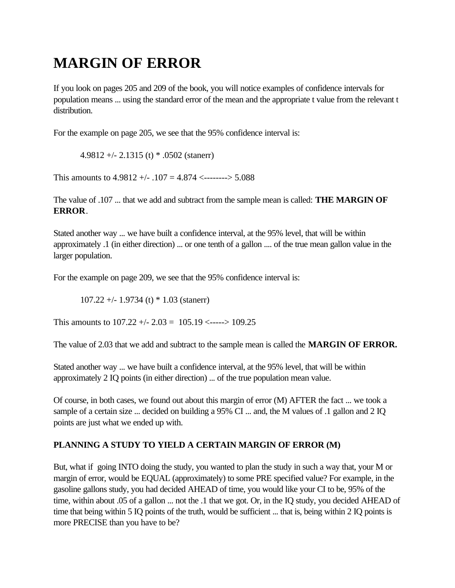# **MARGIN OF ERROR**

If you look on pages 205 and 209 of the book, you will notice examples of confidence intervals for population means ... using the standard error of the mean and the appropriate t value from the relevant t distribution.

For the example on page 205, we see that the 95% confidence interval is:

4.9812 +/- 2.1315 (t)  $*$  .0502 (stanerr)

This amounts to  $4.9812 + (-107) = 4.874$  <--------> 5.088

The value of .107 ... that we add and subtract from the sample mean is called: **THE MARGIN OF ERROR**.

Stated another way ... we have built a confidence interval, at the 95% level, that will be within approximately .1 (in either direction) ... or one tenth of a gallon .... of the true mean gallon value in the larger population.

For the example on page 209, we see that the 95% confidence interval is:

107.22 +/- 1.9734 (t)  $*$  1.03 (stanerr)

This amounts to  $107.22 + (-2.03 - 105.19 < \dots > 109.25)$ 

The value of 2.03 that we add and subtract to the sample mean is called the **MARGIN OF ERROR.**

Stated another way ... we have built a confidence interval, at the 95% level, that will be within approximately 2 IQ points (in either direction) ... of the true population mean value.

Of course, in both cases, we found out about this margin of error (M) AFTER the fact ... we took a sample of a certain size ... decided on building a 95% CI ... and, the M values of .1 gallon and 2 IQ points are just what we ended up with.

# **PLANNING A STUDY TO YIELD A CERTAIN MARGIN OF ERROR (M)**

But, what if going INTO doing the study, you wanted to plan the study in such a way that, your M or margin of error, would be EQUAL (approximately) to some PRE specified value? For example, in the gasoline gallons study, you had decided AHEAD of time, you would like your CI to be, 95% of the time, within about .05 of a gallon ... not the .1 that we got. Or, in the IQ study, you decided AHEAD of time that being within 5 IQ points of the truth, would be sufficient ... that is, being within 2 IQ points is more PRECISE than you have to be?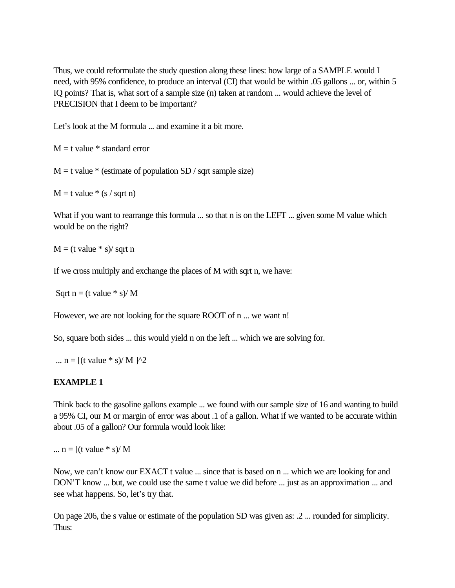Thus, we could reformulate the study question along these lines: how large of a SAMPLE would I need, with 95% confidence, to produce an interval (CI) that would be within .05 gallons ... or, within 5 IQ points? That is, what sort of a sample size (n) taken at random ... would achieve the level of PRECISION that I deem to be important?

Let's look at the M formula ... and examine it a bit more.

 $M = t$  value  $*$  standard error

 $M = t$  value  $*$  (estimate of population SD / sqrt sample size)

 $M = t$  value  $*(s / sqrt n)$ 

What if you want to rearrange this formula ... so that n is on the LEFT ... given some M value which would be on the right?

 $M = (t \text{ value} * s) / \text{sqrt } n$ 

If we cross multiply and exchange the places of M with sqrt n, we have:

Sqrt  $n = (t \text{ value} * s) / M$ 

However, we are not looking for the square ROOT of n ... we want n!

So, square both sides ... this would yield n on the left ... which we are solving for.

...  $n = [(t value * s) / M]^{2}$ 

#### **EXAMPLE 1**

Think back to the gasoline gallons example ... we found with our sample size of 16 and wanting to build a 95% CI, our M or margin of error was about .1 of a gallon. What if we wanted to be accurate within about .05 of a gallon? Our formula would look like:

...  $n = [(t value * s) / M]$ 

Now, we can't know our EXACT t value ... since that is based on n ... which we are looking for and DON'T know ... but, we could use the same t value we did before ... just as an approximation ... and see what happens. So, let's try that.

On page 206, the s value or estimate of the population SD was given as: .2 ... rounded for simplicity. Thus: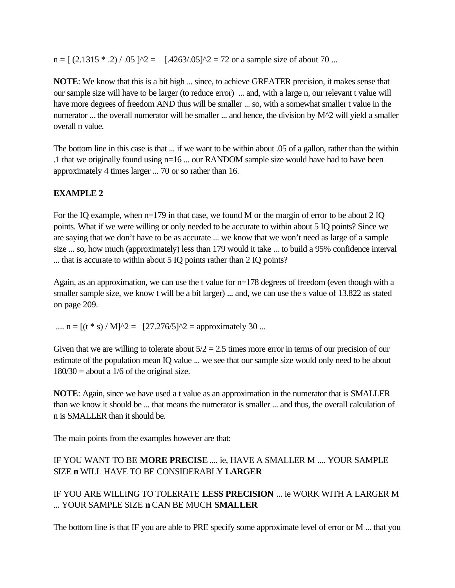$n = \left[\right. (2.1315 * .2) / .05 \right]$   $\gamma$   $\gamma$  =  $\left[\right. .4263/.05]$   $\gamma$   $\gamma$  = 72 or a sample size of about 70 ...

**NOTE**: We know that this is a bit high ... since, to achieve GREATER precision, it makes sense that our sample size will have to be larger (to reduce error) ... and, with a large n, our relevant t value will have more degrees of freedom AND thus will be smaller ... so, with a somewhat smaller t value in the numerator ... the overall numerator will be smaller ... and hence, the division by M^2 will yield a smaller overall n value.

The bottom line in this case is that ... if we want to be within about .05 of a gallon, rather than the within .1 that we originally found using n=16 ... our RANDOM sample size would have had to have been approximately 4 times larger ... 70 or so rather than 16.

### **EXAMPLE 2**

For the IQ example, when n=179 in that case, we found M or the margin of error to be about 2 IQ points. What if we were willing or only needed to be accurate to within about 5 IQ points? Since we are saying that we don't have to be as accurate ... we know that we won't need as large of a sample size ... so, how much (approximately) less than 179 would it take ... to build a 95% confidence interval ... that is accurate to within about 5 IQ points rather than 2 IQ points?

Again, as an approximation, we can use the t value for n=178 degrees of freedom (even though with a smaller sample size, we know t will be a bit larger) ... and, we can use the s value of 13.822 as stated on page 209.

....  $n = [(t * s) / M]^2 = [27.276/5]^2 =$  approximately 30 ...

Given that we are willing to tolerate about  $5/2 = 2.5$  times more error in terms of our precision of our estimate of the population mean IQ value ... we see that our sample size would only need to be about  $180/30$  = about a 1/6 of the original size.

**NOTE**: Again, since we have used a t value as an approximation in the numerator that is SMALLER than we know it should be ... that means the numerator is smaller ... and thus, the overall calculation of n is SMALLER than it should be.

The main points from the examples however are that:

# IF YOU WANT TO BE **MORE PRECISE** .... ie, HAVE A SMALLER M .... YOUR SAMPLE SIZE **n** WILL HAVE TO BE CONSIDERABLY **LARGER**

IF YOU ARE WILLING TO TOLERATE **LESS PRECISION** ... ie WORK WITH A LARGER M ... YOUR SAMPLE SIZE **n** CAN BE MUCH **SMALLER**

The bottom line is that IF you are able to PRE specify some approximate level of error or M ... that you